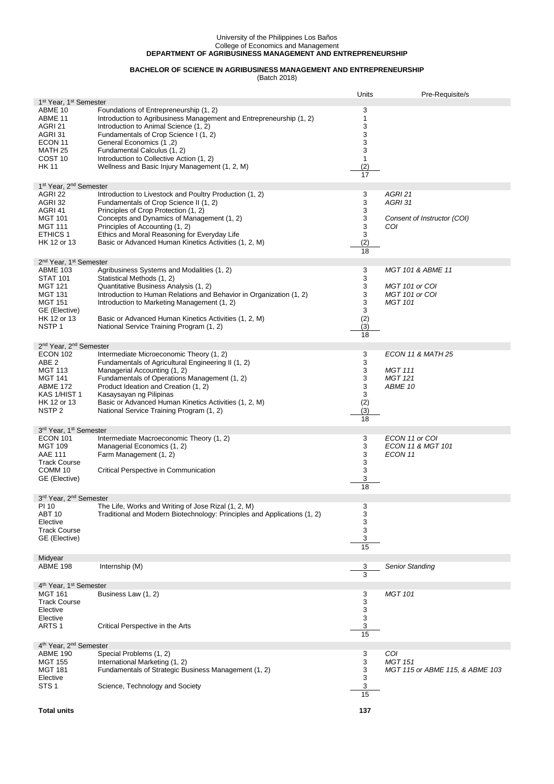## University of the Philippines Los Baños College of Economics and Management **DEPARTMENT OF AGRIBUSINESS MANAGEMENT AND ENTREPRENEURSHIP**

## **BACHELOR OF SCIENCE IN AGRIBUSINESS MANAGEMENT AND ENTREPRENEURSHIP**

(Batch 2018)

|                                                |                                                                                                               | Units                     | Pre-Requisite/s                 |  |  |  |
|------------------------------------------------|---------------------------------------------------------------------------------------------------------------|---------------------------|---------------------------------|--|--|--|
|                                                | 1 <sup>st</sup> Year, 1 <sup>st</sup> Semester                                                                |                           |                                 |  |  |  |
| ABME 10<br>ABME 11                             | Foundations of Entrepreneurship (1, 2)<br>Introduction to Agribusiness Management and Entrepreneurship (1, 2) | 3<br>1                    |                                 |  |  |  |
| AGRI 21                                        | Introduction to Animal Science (1, 2)                                                                         | 3                         |                                 |  |  |  |
| AGRI 31                                        | Fundamentals of Crop Science I (1, 2)                                                                         | 3                         |                                 |  |  |  |
| ECON 11                                        | (2, 1) General Economics                                                                                      | 3                         |                                 |  |  |  |
| MATH 25                                        | Fundamental Calculus (1, 2)                                                                                   | 3                         |                                 |  |  |  |
| COST <sub>10</sub>                             | Introduction to Collective Action (1, 2)                                                                      | 1                         |                                 |  |  |  |
| <b>HK 11</b>                                   | Wellness and Basic Injury Management (1, 2, M)                                                                | (2)                       |                                 |  |  |  |
|                                                |                                                                                                               | 17                        |                                 |  |  |  |
| 1st Year, 2 <sup>nd</sup> Semester             |                                                                                                               |                           |                                 |  |  |  |
| AGRI 22                                        | Introduction to Livestock and Poultry Production (1, 2)                                                       | 3                         | AGRI 21                         |  |  |  |
| AGRI 32                                        | Fundamentals of Crop Science II (1, 2)                                                                        | 3                         | AGRI 31                         |  |  |  |
| AGRI 41                                        | Principles of Crop Protection (1, 2)                                                                          | 3                         |                                 |  |  |  |
| <b>MGT 101</b>                                 | Concepts and Dynamics of Management (1, 2)                                                                    | 3                         | Consent of Instructor (COI)     |  |  |  |
| <b>MGT 111</b>                                 | Principles of Accounting (1, 2)                                                                               | $\ensuremath{\mathsf{3}}$ | COI                             |  |  |  |
| <b>ETHICS 1</b>                                | Ethics and Moral Reasoning for Everyday Life                                                                  | 3                         |                                 |  |  |  |
| HK 12 or 13                                    | Basic or Advanced Human Kinetics Activities (1, 2, M)                                                         | (2)                       |                                 |  |  |  |
|                                                |                                                                                                               | 18                        |                                 |  |  |  |
| 2 <sup>nd</sup> Year, 1 <sup>st</sup> Semester |                                                                                                               |                           |                                 |  |  |  |
| <b>ABME 103</b>                                | Agribusiness Systems and Modalities (1, 2)                                                                    | 3                         | <b>MGT 101 &amp; ABME 11</b>    |  |  |  |
| <b>STAT 101</b>                                | Statistical Methods (1, 2)                                                                                    | 3                         |                                 |  |  |  |
| <b>MGT 121</b>                                 | Quantitative Business Analysis (1, 2)                                                                         | 3                         | MGT 101 or COI                  |  |  |  |
| <b>MGT 131</b>                                 | Introduction to Human Relations and Behavior in Organization (1, 2)                                           | 3                         | MGT 101 or COI                  |  |  |  |
| <b>MGT 151</b>                                 | Introduction to Marketing Management (1, 2)                                                                   | 3                         | <b>MGT 101</b>                  |  |  |  |
| GE (Elective)                                  |                                                                                                               | 3                         |                                 |  |  |  |
| HK 12 or 13<br>NSTP <sub>1</sub>               | Basic or Advanced Human Kinetics Activities (1, 2, M)<br>National Service Training Program (1, 2)             | (2)<br>(3)                |                                 |  |  |  |
|                                                |                                                                                                               | 18                        |                                 |  |  |  |
| 2 <sup>nd</sup> Year, 2 <sup>nd</sup> Semester |                                                                                                               |                           |                                 |  |  |  |
| <b>ECON 102</b>                                | Intermediate Microeconomic Theory (1, 2)                                                                      | 3                         | <b>ECON 11 &amp; MATH 25</b>    |  |  |  |
| ABE <sub>2</sub>                               | Fundamentals of Agricultural Engineering II (1, 2)                                                            | 3                         |                                 |  |  |  |
| MGT 113                                        | Managerial Accounting (1, 2)                                                                                  | 3                         | <b>MGT 111</b>                  |  |  |  |
| <b>MGT 141</b>                                 | Fundamentals of Operations Management (1, 2)                                                                  | 3                         | <b>MGT 121</b>                  |  |  |  |
| <b>ABME 172</b>                                | Product Ideation and Creation (1, 2)                                                                          | 3                         | ABME 10                         |  |  |  |
| KAS 1/HIST 1                                   | Kasaysayan ng Pilipinas                                                                                       | 3                         |                                 |  |  |  |
| HK 12 or 13                                    | Basic or Advanced Human Kinetics Activities (1, 2, M)                                                         | (2)                       |                                 |  |  |  |
| NSTP <sub>2</sub>                              | National Service Training Program (1, 2)                                                                      | (3)                       |                                 |  |  |  |
|                                                |                                                                                                               | 18                        |                                 |  |  |  |
| 3rd Year, 1st Semester                         |                                                                                                               |                           |                                 |  |  |  |
| <b>ECON 101</b>                                | Intermediate Macroeconomic Theory (1, 2)                                                                      | 3                         | ECON 11 or COI                  |  |  |  |
| <b>MGT 109</b>                                 | Managerial Economics (1, 2)                                                                                   | 3                         | ECON 11 & MGT 101               |  |  |  |
| <b>AAE 111</b>                                 | Farm Management (1, 2)                                                                                        | 3                         | ECON 11                         |  |  |  |
| <b>Track Course</b>                            |                                                                                                               | 3                         |                                 |  |  |  |
| COMM <sub>10</sub>                             | Critical Perspective in Communication                                                                         | 3<br>3                    |                                 |  |  |  |
| GE (Elective)                                  |                                                                                                               | 18                        |                                 |  |  |  |
|                                                |                                                                                                               |                           |                                 |  |  |  |
| 3rd Year, 2nd Semester<br>PI 10                | The Life, Works and Writing of Jose Rizal (1, 2, M)                                                           | 3                         |                                 |  |  |  |
| ABT 10                                         | Traditional and Modern Biotechnology: Principles and Applications (1, 2)                                      | 3                         |                                 |  |  |  |
| Elective                                       |                                                                                                               | 3                         |                                 |  |  |  |
| <b>Track Course</b>                            |                                                                                                               | 3                         |                                 |  |  |  |
| GE (Elective)                                  |                                                                                                               | 3                         |                                 |  |  |  |
|                                                |                                                                                                               | 15                        |                                 |  |  |  |
| Midyear                                        |                                                                                                               |                           |                                 |  |  |  |
| <b>ABME 198</b>                                | Internship (M)                                                                                                | 3                         | <b>Senior Standing</b>          |  |  |  |
|                                                |                                                                                                               | 3                         |                                 |  |  |  |
| 4 <sup>th</sup> Year, 1 <sup>st</sup> Semester |                                                                                                               |                           |                                 |  |  |  |
| <b>MGT 161</b>                                 | Business Law (1, 2)                                                                                           | 3                         | <b>MGT 101</b>                  |  |  |  |
| <b>Track Course</b>                            |                                                                                                               | 3                         |                                 |  |  |  |
| Elective                                       |                                                                                                               | 3                         |                                 |  |  |  |
| Elective                                       |                                                                                                               | 3                         |                                 |  |  |  |
| ARTS <sub>1</sub>                              | Critical Perspective in the Arts                                                                              | 3<br>15                   |                                 |  |  |  |
|                                                |                                                                                                               |                           |                                 |  |  |  |
| 4 <sup>th</sup> Year, 2 <sup>nd</sup> Semester |                                                                                                               |                           |                                 |  |  |  |
| <b>ABME 190</b><br><b>MGT 155</b>              | Special Problems (1, 2)                                                                                       | 3                         | COI<br><b>MGT 151</b>           |  |  |  |
| <b>MGT 181</b>                                 | International Marketing (1, 2)<br>Fundamentals of Strategic Business Management (1, 2)                        | 3<br>3                    | MGT 115 or ABME 115, & ABME 103 |  |  |  |
| Elective                                       |                                                                                                               | 3                         |                                 |  |  |  |
| STS <sub>1</sub>                               | Science, Technology and Society                                                                               | 3                         |                                 |  |  |  |
|                                                |                                                                                                               | $\overline{15}$           |                                 |  |  |  |
|                                                |                                                                                                               |                           |                                 |  |  |  |
| <b>Total units</b>                             |                                                                                                               | 137                       |                                 |  |  |  |